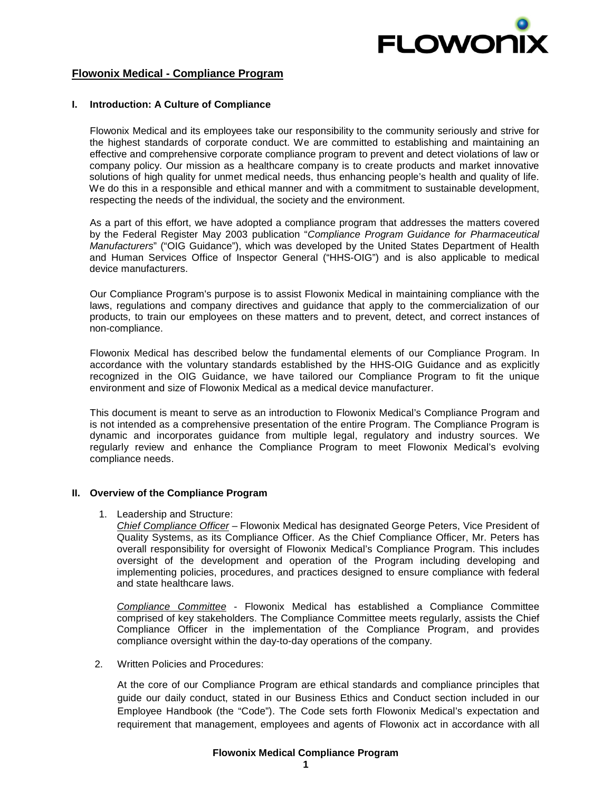

## **Flowonix Medical - Compliance Program**

## **I. Introduction: A Culture of Compliance**

Flowonix Medical and its employees take our responsibility to the community seriously and strive for the highest standards of corporate conduct. We are committed to establishing and maintaining an effective and comprehensive corporate compliance program to prevent and detect violations of law or company policy. Our mission as a healthcare company is to create products and market innovative solutions of high quality for unmet medical needs, thus enhancing people's health and quality of life. We do this in a responsible and ethical manner and with a commitment to sustainable development, respecting the needs of the individual, the society and the environment.

As a part of this effort, we have adopted a compliance program that addresses the matters covered by the Federal Register May 2003 publication "*Compliance Program Guidance for Pharmaceutical Manufacturers*" ("OIG Guidance"), which was developed by the United States Department of Health and Human Services Office of Inspector General ("HHS-OIG") and is also applicable to medical device manufacturers.

Our Compliance Program's purpose is to assist Flowonix Medical in maintaining compliance with the laws, regulations and company directives and guidance that apply to the commercialization of our products, to train our employees on these matters and to prevent, detect, and correct instances of non-compliance.

Flowonix Medical has described below the fundamental elements of our Compliance Program. In accordance with the voluntary standards established by the HHS-OIG Guidance and as explicitly recognized in the OIG Guidance, we have tailored our Compliance Program to fit the unique environment and size of Flowonix Medical as a medical device manufacturer.

This document is meant to serve as an introduction to Flowonix Medical's Compliance Program and is not intended as a comprehensive presentation of the entire Program. The Compliance Program is dynamic and incorporates guidance from multiple legal, regulatory and industry sources. We regularly review and enhance the Compliance Program to meet Flowonix Medical's evolving compliance needs.

## **II. Overview of the Compliance Program**

1. Leadership and Structure:

*Chief Compliance Officer* – Flowonix Medical has designated George Peters, Vice President of Quality Systems, as its Compliance Officer. As the Chief Compliance Officer, Mr. Peters has overall responsibility for oversight of Flowonix Medical's Compliance Program. This includes oversight of the development and operation of the Program including developing and implementing policies, procedures, and practices designed to ensure compliance with federal and state healthcare laws.

*Compliance Committee* - Flowonix Medical has established a Compliance Committee comprised of key stakeholders. The Compliance Committee meets regularly, assists the Chief Compliance Officer in the implementation of the Compliance Program, and provides compliance oversight within the day-to-day operations of the company.

2. Written Policies and Procedures:

At the core of our Compliance Program are ethical standards and compliance principles that guide our daily conduct, stated in our Business Ethics and Conduct section included in our Employee Handbook (the "Code"). The Code sets forth Flowonix Medical's expectation and requirement that management, employees and agents of Flowonix act in accordance with all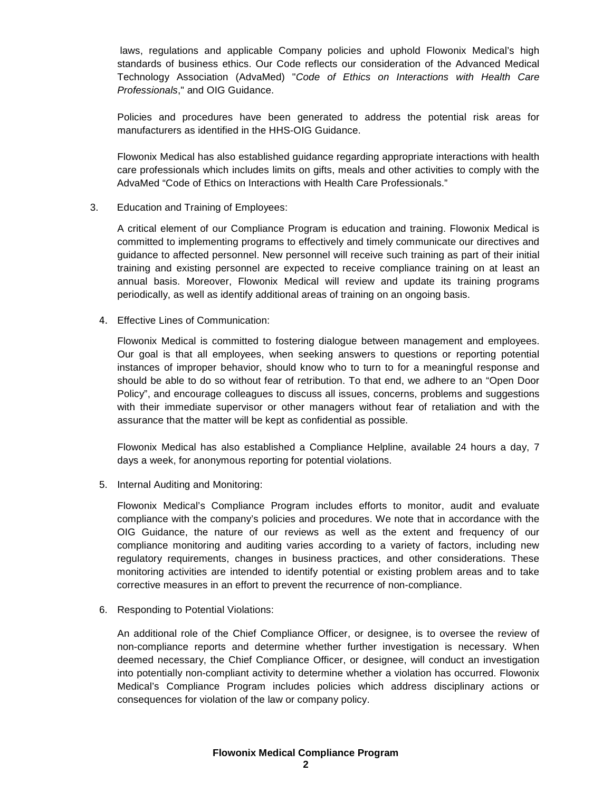laws, regulations and applicable Company policies and uphold Flowonix Medical's high standards of business ethics. Our Code reflects our consideration of the Advanced Medical Technology Association (AdvaMed) "*Code of Ethics on Interactions with Health Care Professionals*," and OIG Guidance.

Policies and procedures have been generated to address the potential risk areas for manufacturers as identified in the HHS-OIG Guidance.

Flowonix Medical has also established guidance regarding appropriate interactions with health care professionals which includes limits on gifts, meals and other activities to comply with the AdvaMed "Code of Ethics on Interactions with Health Care Professionals."

3. Education and Training of Employees:

A critical element of our Compliance Program is education and training. Flowonix Medical is committed to implementing programs to effectively and timely communicate our directives and guidance to affected personnel. New personnel will receive such training as part of their initial training and existing personnel are expected to receive compliance training on at least an annual basis. Moreover, Flowonix Medical will review and update its training programs periodically, as well as identify additional areas of training on an ongoing basis.

4. Effective Lines of Communication:

Flowonix Medical is committed to fostering dialogue between management and employees. Our goal is that all employees, when seeking answers to questions or reporting potential instances of improper behavior, should know who to turn to for a meaningful response and should be able to do so without fear of retribution. To that end, we adhere to an "Open Door Policy", and encourage colleagues to discuss all issues, concerns, problems and suggestions with their immediate supervisor or other managers without fear of retaliation and with the assurance that the matter will be kept as confidential as possible.

Flowonix Medical has also established a Compliance Helpline, available 24 hours a day, 7 days a week, for anonymous reporting for potential violations.

5. Internal Auditing and Monitoring:

Flowonix Medical's Compliance Program includes efforts to monitor, audit and evaluate compliance with the company's policies and procedures. We note that in accordance with the OIG Guidance, the nature of our reviews as well as the extent and frequency of our compliance monitoring and auditing varies according to a variety of factors, including new regulatory requirements, changes in business practices, and other considerations. These monitoring activities are intended to identify potential or existing problem areas and to take corrective measures in an effort to prevent the recurrence of non-compliance.

6. Responding to Potential Violations:

An additional role of the Chief Compliance Officer, or designee, is to oversee the review of non-compliance reports and determine whether further investigation is necessary. When deemed necessary, the Chief Compliance Officer, or designee, will conduct an investigation into potentially non-compliant activity to determine whether a violation has occurred. Flowonix Medical's Compliance Program includes policies which address disciplinary actions or consequences for violation of the law or company policy.